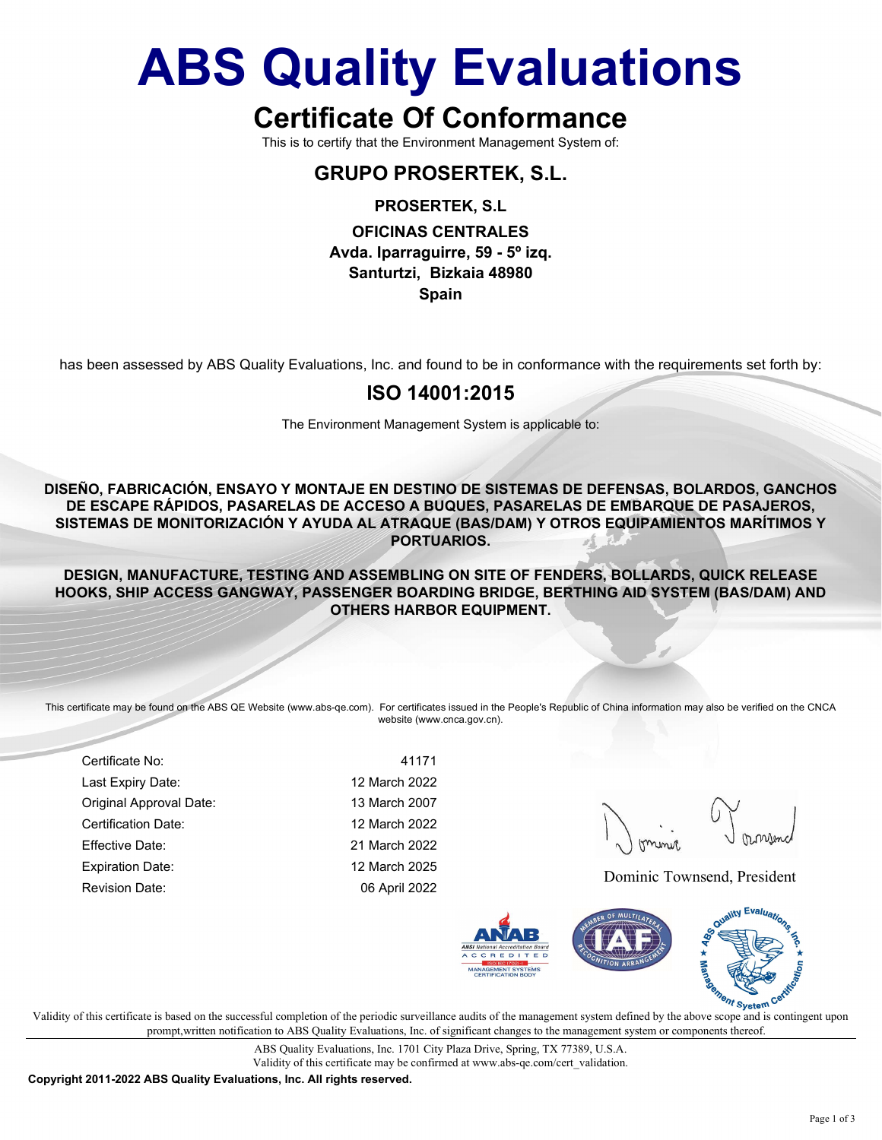## ABS Quality Evaluations

## Certificate Of Conformance

This is to certify that the Environment Management System of:

## GRUPO PROSERTEK, S.L.

#### PROSERTEK, S.L

#### OFICINAS CENTRALES Avda. Iparraguirre, 59 - 5º izq. Santurtzi, Bizkaia 48980 Spain

has been assessed by ABS Quality Evaluations, Inc. and found to be in conformance with the requirements set forth by:

### ISO 14001:2015

The Environment Management System is applicable to:

DISEÑO, FABRICACIÓN, ENSAYO Y MONTAJE EN DESTINO DE SISTEMAS DE DEFENSAS, BOLARDOS, GANCHOS DE ESCAPE RÁPIDOS, PASARELAS DE ACCESO A BUQUES, PASARELAS DE EMBARQUE DE PASAJEROS, SISTEMAS DE MONITORIZACIÓN Y AYUDA AL ATRAQUE (BAS/DAM) Y OTROS EQUIPAMIENTOS MARÍTIMOS Y PORTUARIOS.

DESIGN, MANUFACTURE, TESTING AND ASSEMBLING ON SITE OF FENDERS, BOLLARDS, QUICK RELEASE HOOKS, SHIP ACCESS GANGWAY, PASSENGER BOARDING BRIDGE, BERTHING AID SYSTEM (BAS/DAM) AND OTHERS HARBOR EQUIPMENT.

This certificate may be found on the ABS QE Website (www.abs-qe.com). For certificates issued in the People's Republic of China information may also be verified on the CNCA website (www.cnca.gov.cn).

Certificate No: 41171 Last Expiry Date: 12 March 2022 Original Approval Date: 13 March 2007 Certification Date: 12 March 2022 Effective Date: 21 March 2022 Expiration Date: 12 March 2025 Revision Date: 06 April 2022 Dominic Townsend, President



 $\mathbf{v}$  validity of this certificate is based on the successful completion of the periodic surveillance audits of the management system defined by the above scope and is contingent upon V prompt,written notification to ABS Quality Evaluations, Inc. of significant changes to the management system or components thereof.

> ABS Quality Evaluations, Inc. 1701 City Plaza Drive, Spring, TX 77389, U.S.A. Validity of this certificate may be confirmed at www.abs-qe.com/cert\_validation.

Copyright 2011-2022 ABS Quality Evaluations, Inc. All rights reserved.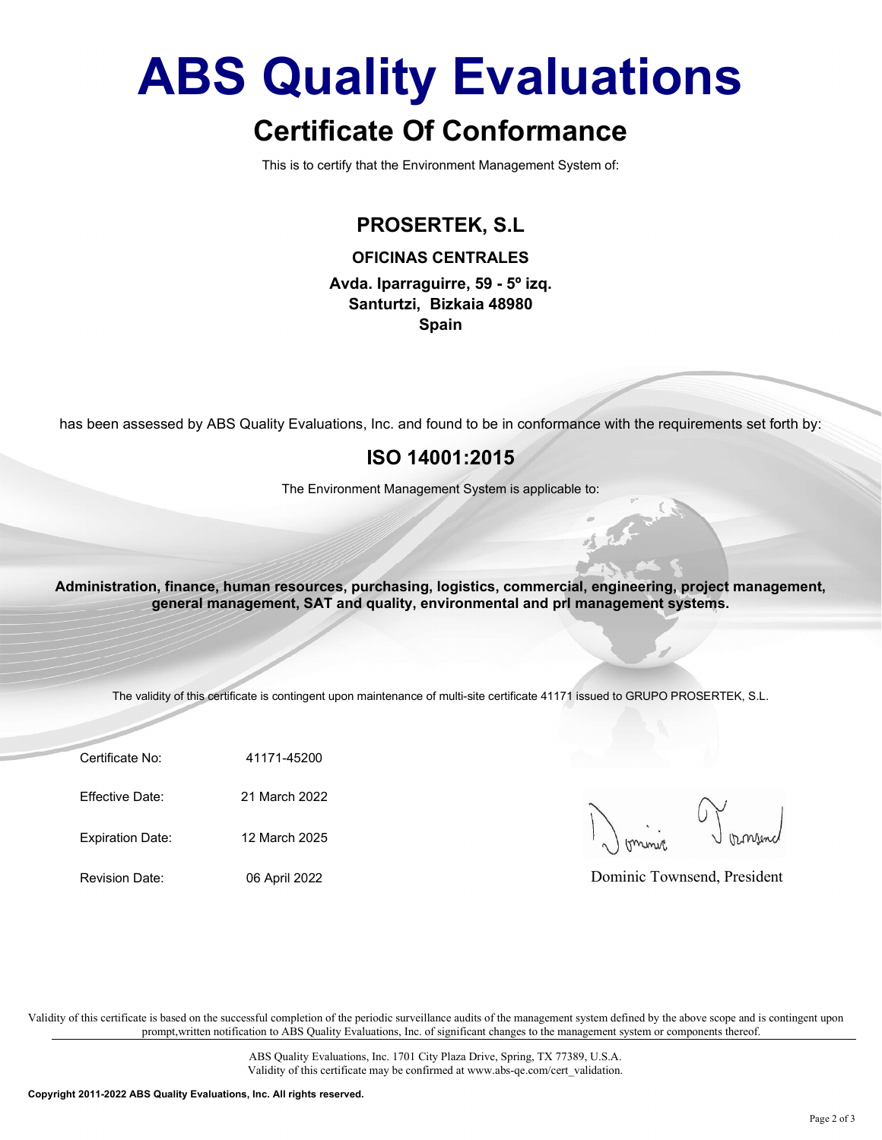# ABS Quality Evaluations

## Certificate Of Conformance

This is to certify that the Environment Management System of:

## PROSERTEK, S.L

OFICINAS CENTRALES Avda. Iparraguirre, 59 - 5º izq.

Santurtzi, Bizkaia 48980 Spain

has been assessed by ABS Quality Evaluations, Inc. and found to be in conformance with the requirements set forth by:

### ISO 14001:2015

The Environment Management System is applicable to:

been assessed by ABS Quality Evaluations, Inc. and found to be in conformance with the requirem<br>
ISO 14001:2015<br>
The Environment Management System is applicable to:<br>
ministration, finance, human resources, purchasing, logi The Environment Management System is applicable to:<br>
Ininistration, finance, human resources, purchasing, logistics, commercial, engineering, proje<br>
general management, SAT and quality, environmental and pri management sys ministration, finance, human resources, purchasing, logistics, commercial, engineering, proje<br>
general management, SAT and quality, environmental and pri management system<br>
The validity of this certificate is contingent up Administration, finance, human resources, purchasing, logistics, commercial, engineering, project management, general management, SAT and quality, environmental and prl management systems.

The validity of this certificate is contingent upon maintenance of multi-site certificate 41171 issued to GRUPO PROSERTEK, S.L.

Certificate No: 41171-45200

Dominic Townsend, President

Validity of this certificate is based on the successful completion of the periodic surveillance audits of the management system defined by the above scope and is contingent upon prompt,written notification to ABS Quality Evaluations, Inc. of significant changes to the management system or components thereof.

> ABS Quality Evaluations, Inc. 1701 City Plaza Drive, Spring, TX 77389, U.S.A. Validity of this certificate may be confirmed at www.abs-qe.com/cert\_validation.